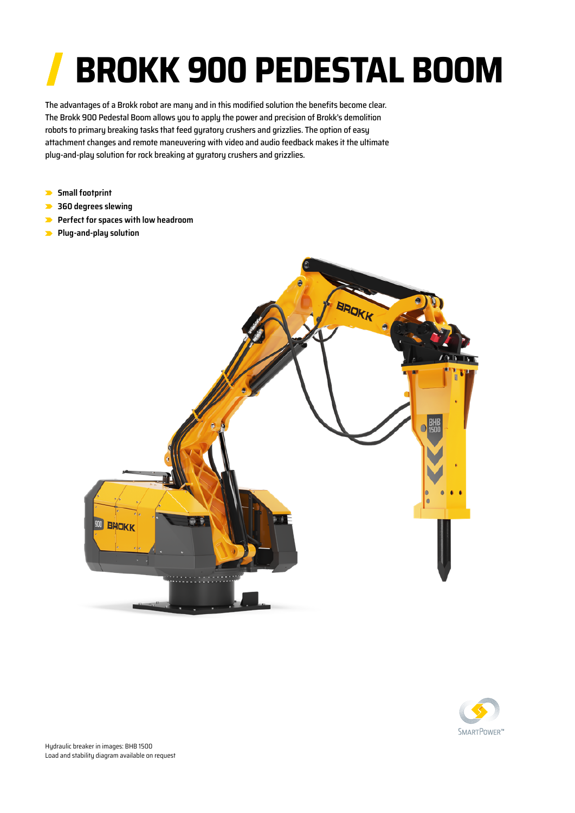## **BROKK 900 PEDESTAL BOOM**

The advantages of a Brokk robot are many and in this modified solution the benefits become clear. The Brokk 900 Pedestal Boom allows you to apply the power and precision of Brokk's demolition robots to primary breaking tasks that feed gyratory crushers and grizzlies. The option of easy attachment changes and remote maneuvering with video and audio feedback makes it the ultimate plug-and-play solution for rock breaking at gyratory crushers and grizzlies.

- **Small footprint**
- **360 degrees slewing**
- **Perfect for spaces with low headroom**
- **Plug-and-play solution**